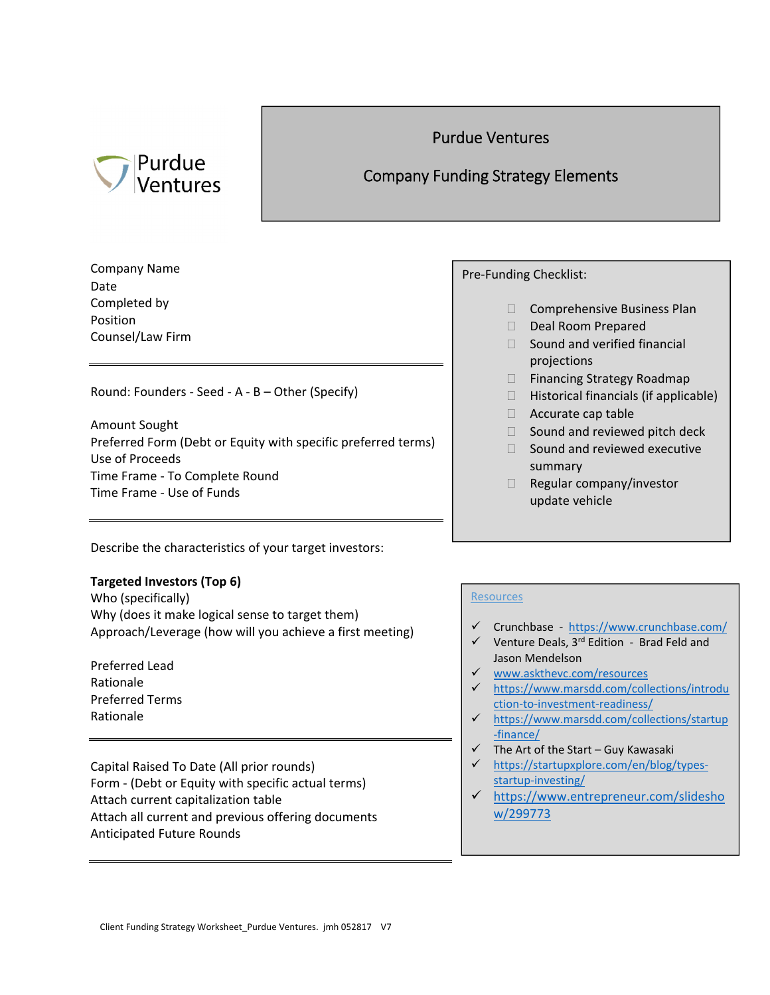# Purdue Ventures

### Purdue Ventures

## Company Funding Strategy Elements

Company Name Date Completed by Position Counsel/Law Firm

Round: Founders ‐ Seed ‐ A ‐ B – Other (Specify)

Amount Sought Preferred Form (Debt or Equity with specific preferred terms) Use of Proceeds Time Frame ‐ To Complete Round Time Frame ‐ Use of Funds

Describe the characteristics of your target investors:

### **Targeted Investors (Top 6)**

Who (specifically) Why (does it make logical sense to target them) Approach/Leverage (how will you achieve a first meeting)

Preferred Lead Rationale Preferred Terms Rationale

Capital Raised To Date (All prior rounds) Form ‐ (Debt or Equity with specific actual terms) Attach current capitalization table Attach all current and previous offering documents Anticipated Future Rounds

Pre‐Funding Checklist:

- □ Comprehensive Business Plan
- Deal Room Prepared
- $\Box$  Sound and verified financial projections
- □ Financing Strategy Roadmap
- $\Box$  Historical financials (if applicable)
- $\Box$  Accurate cap table
- $\Box$  Sound and reviewed pitch deck
- $\Box$  Sound and reviewed executive summary
- $\Box$  Regular company/investor update vehicle

#### **Resources**

- Crunchbase ‐ https://www.crunchbase.com/
- $\checkmark$  Venture Deals, 3<sup>rd</sup> Edition Brad Feld and Jason Mendelson
- www.askthevc.com/resources
- https://www.marsdd.com/collections/introdu ction‐to‐investment‐readiness/
- https://www.marsdd.com/collections/startup ‐finance/
- $\checkmark$  The Art of the Start Guy Kawasaki
- https://startupxplore.com/en/blog/types‐ startup-investing/
- https://www.entrepreneur.com/slidesho w/299773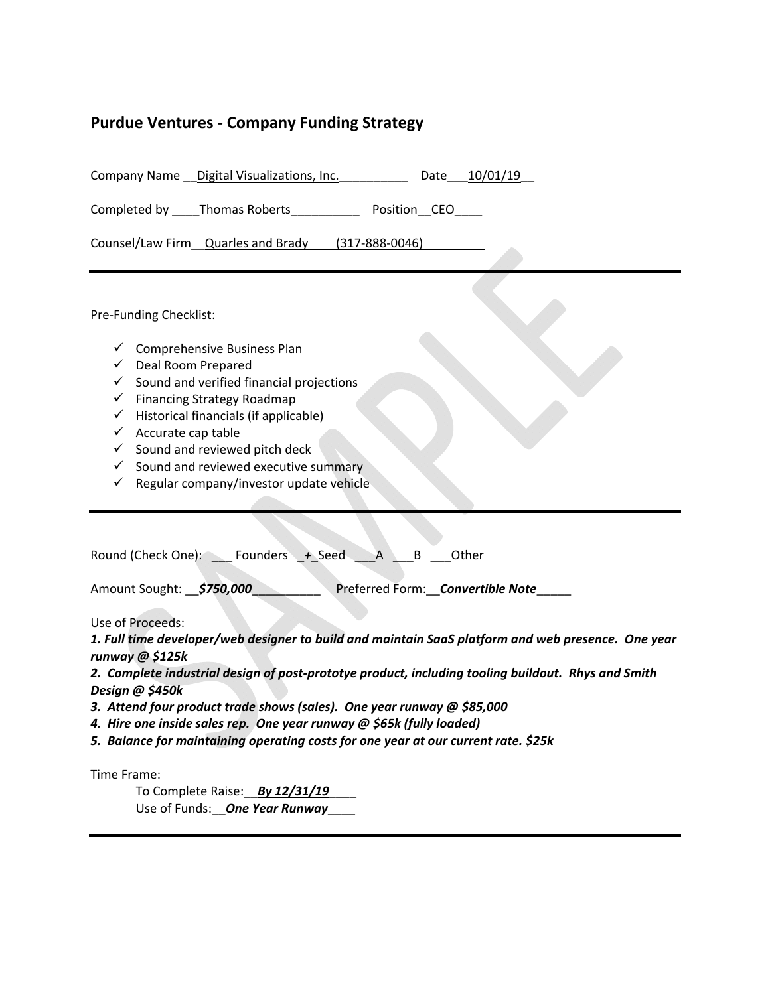## **Purdue Ventures ‐ Company Funding Strategy**

| Company Name __ Digital Visualizations, Inc.<br>10/01/19<br>Date                                                                                                                                                                                                                                                                                                                                                                                                                                           |
|------------------------------------------------------------------------------------------------------------------------------------------------------------------------------------------------------------------------------------------------------------------------------------------------------------------------------------------------------------------------------------------------------------------------------------------------------------------------------------------------------------|
| Completed by ______ Thomas Roberts<br>Position CEO                                                                                                                                                                                                                                                                                                                                                                                                                                                         |
| Counsel/Law Firm Quarles and Brady (317-888-0046)                                                                                                                                                                                                                                                                                                                                                                                                                                                          |
| Pre-Funding Checklist:<br>$\checkmark$ Comprehensive Business Plan<br>Deal Room Prepared<br>$\checkmark$<br>Sound and verified financial projections<br>$\checkmark$<br><b>Financing Strategy Roadmap</b><br>$\checkmark$<br>Historical financials (if applicable)<br>✓<br>Accurate cap table<br>✓<br>$\checkmark$ Sound and reviewed pitch deck<br>$\checkmark$ Sound and reviewed executive summary<br>$\checkmark$ Regular company/investor update vehicle                                              |
| Round (Check One): ____ Founders _+_Seed<br>B<br>Other<br>$\mathsf{A}$<br>Amount Sought: 5750,000<br>Preferred Form: Convertible Note                                                                                                                                                                                                                                                                                                                                                                      |
| Use of Proceeds:<br>1. Full time developer/web designer to build and maintain SaaS platform and web presence. One year<br>runway @ \$125k<br>2. Complete industrial design of post-prototye product, including tooling buildout. Rhys and Smith<br>Design @ \$450k<br>3. Attend four product trade shows (sales). One year runway @ \$85,000<br>4. Hire one inside sales rep. One year runway @ \$65k (fully loaded)<br>5. Balance for maintaining operating costs for one year at our current rate. \$25k |
| Time Frame:<br>To Complete Raise: By 12/31/19<br>Use of Funds: One Year Runway                                                                                                                                                                                                                                                                                                                                                                                                                             |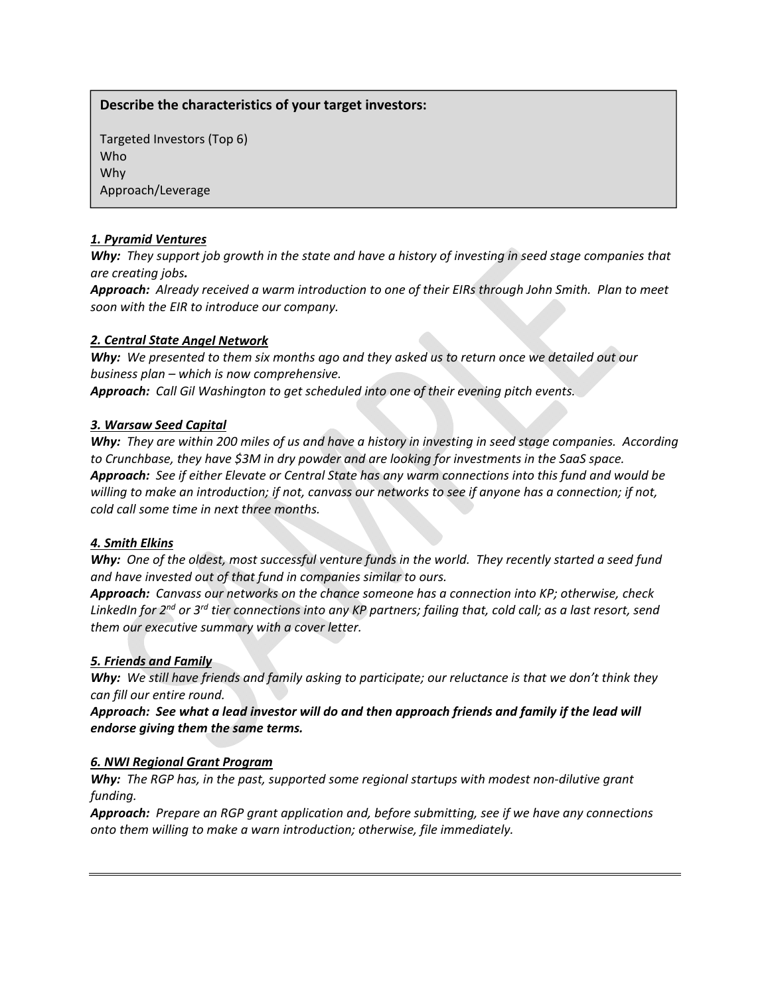### **Describe the characteristics of your target investors:**

Targeted Investors (Top 6) Who Why Approach/Leverage

#### *1. Pyramid Ventures*

Why: They support job growth in the state and have a history of investing in seed stage companies that *are creating jobs.*

Approach: Already received a warm introduction to one of their EIRs through John Smith. Plan to meet *soon with the EIR to introduce our company.*

#### *2. Central State Angel Network*

Why: We presented to them six months ago and they asked us to return once we detailed out our *business plan – which is now comprehensive.*

*Approach: Call Gil Washington to get scheduled into one of their evening pitch events.* 

#### *3. Warsaw Seed Capital*

Why: They are within 200 miles of us and have a history in investing in seed stage companies. According *to Crunchbase, they have \$3M in dry powder and are looking for investments in the SaaS space.* Approach: See if either Elevate or Central State has any warm connections into this fund and would be willing to make an introduction; if not, canvass our networks to see if anyone has a connection; if not, *cold call some time in next three months.*

#### *4. Smith Elkins*

Why: One of the oldest, most successful venture funds in the world. They recently started a seed fund *and have invested out of that fund in companies similar to ours.*

*Approach: Canvass our networks on the chance someone has a connection into KP; otherwise, check* LinkedIn for 2<sup>nd</sup> or 3<sup>rd</sup> tier connections into any KP partners; failing that, cold call; as a last resort, send *them our executive summary with a cover letter.*

#### *5. Friends and Family*

Why: We still have friends and family asking to participate; our reluctance is that we don't think they *can fill our entire round.*

Approach: See what a lead investor will do and then approach friends and family if the lead will *endorse giving them the same terms.*

#### *6. NWI Regional Grant Program*

*Why: The RGP has, in the past, supported some regional startups with modest non‐dilutive grant funding.*

*Approach: Prepare an RGP grant application and, before submitting, see if we have any connections onto them willing to make a warn introduction; otherwise, file immediately.*